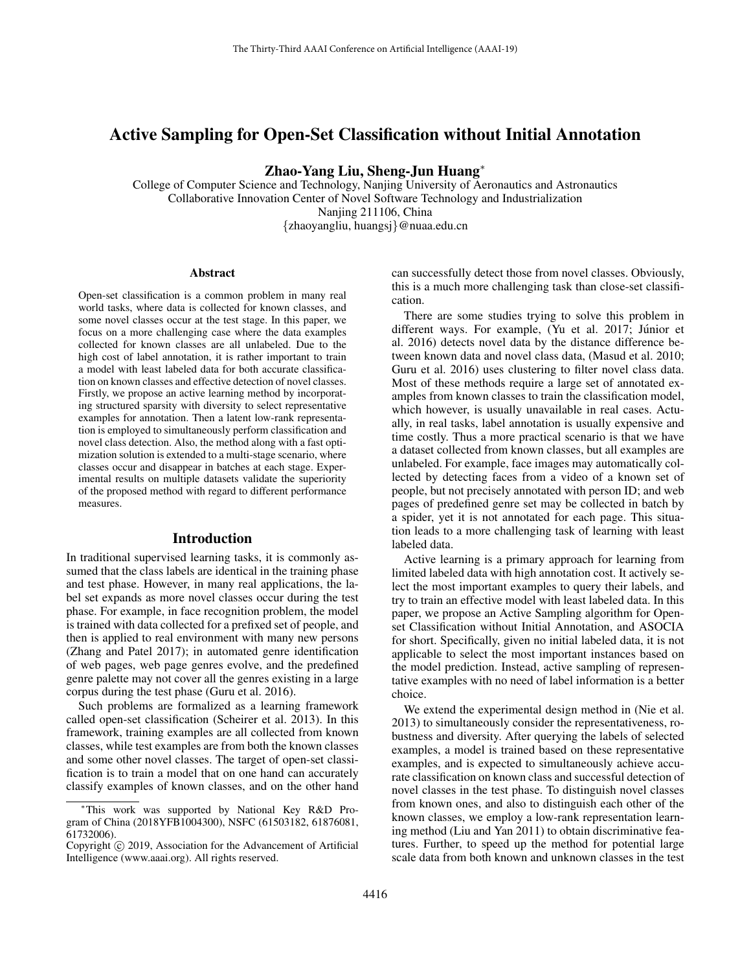# Active Sampling for Open-Set Classification without Initial Annotation

Zhao-Yang Liu, Sheng-Jun Huang<sup>∗</sup>

College of Computer Science and Technology, Nanjing University of Aeronautics and Astronautics Collaborative Innovation Center of Novel Software Technology and Industrialization Nanjing 211106, China {zhaoyangliu, huangsj}@nuaa.edu.cn

#### Abstract

Open-set classification is a common problem in many real world tasks, where data is collected for known classes, and some novel classes occur at the test stage. In this paper, we focus on a more challenging case where the data examples collected for known classes are all unlabeled. Due to the high cost of label annotation, it is rather important to train a model with least labeled data for both accurate classification on known classes and effective detection of novel classes. Firstly, we propose an active learning method by incorporating structured sparsity with diversity to select representative examples for annotation. Then a latent low-rank representation is employed to simultaneously perform classification and novel class detection. Also, the method along with a fast optimization solution is extended to a multi-stage scenario, where classes occur and disappear in batches at each stage. Experimental results on multiple datasets validate the superiority of the proposed method with regard to different performance measures.

## Introduction

In traditional supervised learning tasks, it is commonly assumed that the class labels are identical in the training phase and test phase. However, in many real applications, the label set expands as more novel classes occur during the test phase. For example, in face recognition problem, the model is trained with data collected for a prefixed set of people, and then is applied to real environment with many new persons (Zhang and Patel 2017); in automated genre identification of web pages, web page genres evolve, and the predefined genre palette may not cover all the genres existing in a large corpus during the test phase (Guru et al. 2016).

Such problems are formalized as a learning framework called open-set classification (Scheirer et al. 2013). In this framework, training examples are all collected from known classes, while test examples are from both the known classes and some other novel classes. The target of open-set classification is to train a model that on one hand can accurately classify examples of known classes, and on the other hand

can successfully detect those from novel classes. Obviously, this is a much more challenging task than close-set classification.

There are some studies trying to solve this problem in different ways. For example, (Yu et al. 2017; Júnior et al. 2016) detects novel data by the distance difference between known data and novel class data, (Masud et al. 2010; Guru et al. 2016) uses clustering to filter novel class data. Most of these methods require a large set of annotated examples from known classes to train the classification model, which however, is usually unavailable in real cases. Actually, in real tasks, label annotation is usually expensive and time costly. Thus a more practical scenario is that we have a dataset collected from known classes, but all examples are unlabeled. For example, face images may automatically collected by detecting faces from a video of a known set of people, but not precisely annotated with person ID; and web pages of predefined genre set may be collected in batch by a spider, yet it is not annotated for each page. This situation leads to a more challenging task of learning with least labeled data.

Active learning is a primary approach for learning from limited labeled data with high annotation cost. It actively select the most important examples to query their labels, and try to train an effective model with least labeled data. In this paper, we propose an Active Sampling algorithm for Openset Classification without Initial Annotation, and ASOCIA for short. Specifically, given no initial labeled data, it is not applicable to select the most important instances based on the model prediction. Instead, active sampling of representative examples with no need of label information is a better choice.

We extend the experimental design method in (Nie et al. 2013) to simultaneously consider the representativeness, robustness and diversity. After querying the labels of selected examples, a model is trained based on these representative examples, and is expected to simultaneously achieve accurate classification on known class and successful detection of novel classes in the test phase. To distinguish novel classes from known ones, and also to distinguish each other of the known classes, we employ a low-rank representation learning method (Liu and Yan 2011) to obtain discriminative features. Further, to speed up the method for potential large scale data from both known and unknown classes in the test

<sup>∗</sup>This work was supported by National Key R&D Program of China (2018YFB1004300), NSFC (61503182, 61876081, 61732006).

Copyright © 2019, Association for the Advancement of Artificial Intelligence (www.aaai.org). All rights reserved.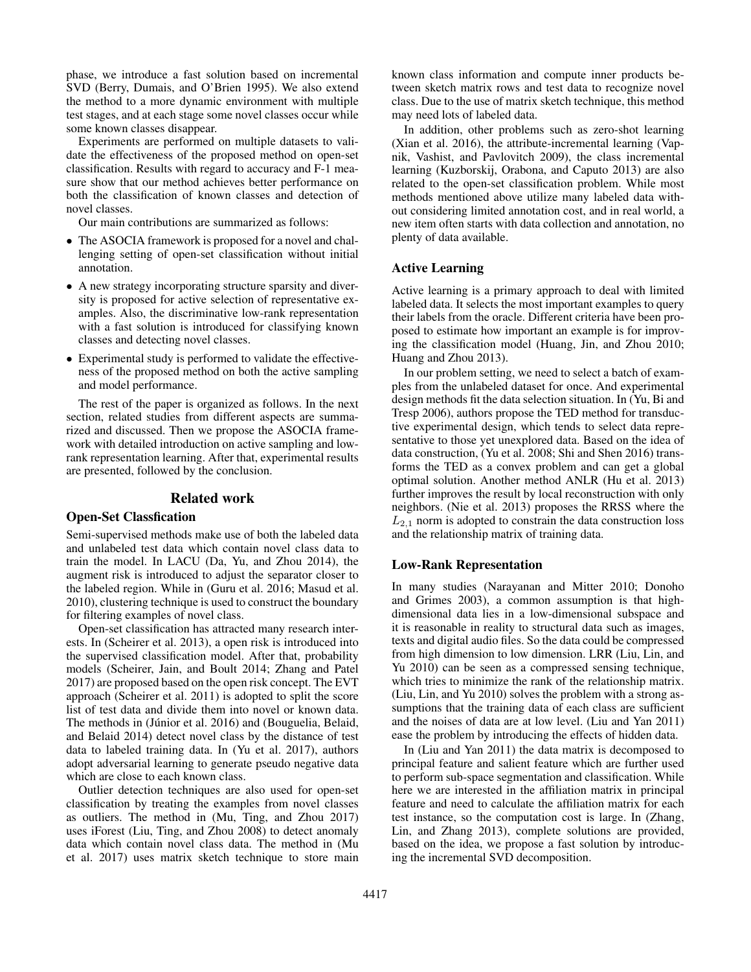phase, we introduce a fast solution based on incremental SVD (Berry, Dumais, and O'Brien 1995). We also extend the method to a more dynamic environment with multiple test stages, and at each stage some novel classes occur while some known classes disappear.

Experiments are performed on multiple datasets to validate the effectiveness of the proposed method on open-set classification. Results with regard to accuracy and F-1 measure show that our method achieves better performance on both the classification of known classes and detection of novel classes.

Our main contributions are summarized as follows:

- The ASOCIA framework is proposed for a novel and challenging setting of open-set classification without initial annotation.
- A new strategy incorporating structure sparsity and diversity is proposed for active selection of representative examples. Also, the discriminative low-rank representation with a fast solution is introduced for classifying known classes and detecting novel classes.
- Experimental study is performed to validate the effectiveness of the proposed method on both the active sampling and model performance.

The rest of the paper is organized as follows. In the next section, related studies from different aspects are summarized and discussed. Then we propose the ASOCIA framework with detailed introduction on active sampling and lowrank representation learning. After that, experimental results are presented, followed by the conclusion.

## Related work

#### Open-Set Classfication

Semi-supervised methods make use of both the labeled data and unlabeled test data which contain novel class data to train the model. In LACU (Da, Yu, and Zhou 2014), the augment risk is introduced to adjust the separator closer to the labeled region. While in (Guru et al. 2016; Masud et al. 2010), clustering technique is used to construct the boundary for filtering examples of novel class.

Open-set classification has attracted many research interests. In (Scheirer et al. 2013), a open risk is introduced into the supervised classification model. After that, probability models (Scheirer, Jain, and Boult 2014; Zhang and Patel 2017) are proposed based on the open risk concept. The EVT approach (Scheirer et al. 2011) is adopted to split the score list of test data and divide them into novel or known data. The methods in (Júnior et al. 2016) and (Bouguelia, Belaid, and Belaid 2014) detect novel class by the distance of test data to labeled training data. In (Yu et al. 2017), authors adopt adversarial learning to generate pseudo negative data which are close to each known class.

Outlier detection techniques are also used for open-set classification by treating the examples from novel classes as outliers. The method in (Mu, Ting, and Zhou 2017) uses iForest (Liu, Ting, and Zhou 2008) to detect anomaly data which contain novel class data. The method in (Mu et al. 2017) uses matrix sketch technique to store main known class information and compute inner products between sketch matrix rows and test data to recognize novel class. Due to the use of matrix sketch technique, this method may need lots of labeled data.

In addition, other problems such as zero-shot learning (Xian et al. 2016), the attribute-incremental learning (Vapnik, Vashist, and Pavlovitch 2009), the class incremental learning (Kuzborskij, Orabona, and Caputo 2013) are also related to the open-set classification problem. While most methods mentioned above utilize many labeled data without considering limited annotation cost, and in real world, a new item often starts with data collection and annotation, no plenty of data available.

## Active Learning

Active learning is a primary approach to deal with limited labeled data. It selects the most important examples to query their labels from the oracle. Different criteria have been proposed to estimate how important an example is for improving the classification model (Huang, Jin, and Zhou 2010; Huang and Zhou 2013).

In our problem setting, we need to select a batch of examples from the unlabeled dataset for once. And experimental design methods fit the data selection situation. In (Yu, Bi and Tresp 2006), authors propose the TED method for transductive experimental design, which tends to select data representative to those yet unexplored data. Based on the idea of data construction, (Yu et al. 2008; Shi and Shen 2016) transforms the TED as a convex problem and can get a global optimal solution. Another method ANLR (Hu et al. 2013) further improves the result by local reconstruction with only neighbors. (Nie et al. 2013) proposes the RRSS where the  $L_{2,1}$  norm is adopted to constrain the data construction loss and the relationship matrix of training data.

#### Low-Rank Representation

In many studies (Narayanan and Mitter 2010; Donoho and Grimes 2003), a common assumption is that highdimensional data lies in a low-dimensional subspace and it is reasonable in reality to structural data such as images, texts and digital audio files. So the data could be compressed from high dimension to low dimension. LRR (Liu, Lin, and Yu 2010) can be seen as a compressed sensing technique, which tries to minimize the rank of the relationship matrix. (Liu, Lin, and Yu 2010) solves the problem with a strong assumptions that the training data of each class are sufficient and the noises of data are at low level. (Liu and Yan 2011) ease the problem by introducing the effects of hidden data.

In (Liu and Yan 2011) the data matrix is decomposed to principal feature and salient feature which are further used to perform sub-space segmentation and classification. While here we are interested in the affiliation matrix in principal feature and need to calculate the affiliation matrix for each test instance, so the computation cost is large. In (Zhang, Lin, and Zhang 2013), complete solutions are provided, based on the idea, we propose a fast solution by introducing the incremental SVD decomposition.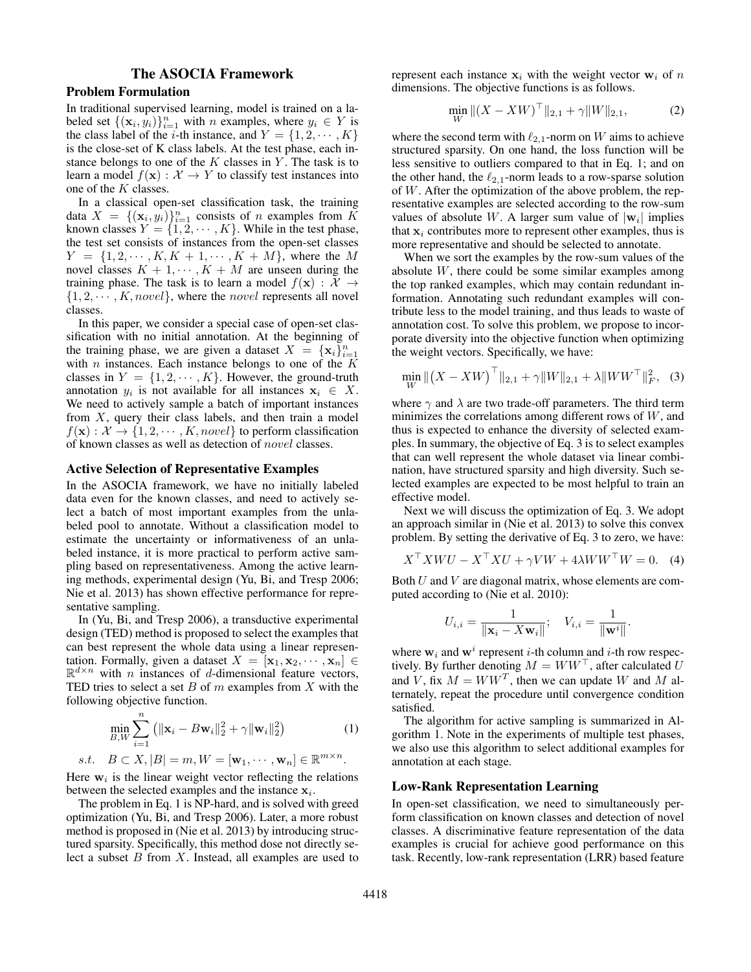# The ASOCIA Framework

## Problem Formulation

In traditional supervised learning, model is trained on a labeled set  $\{(\mathbf{x}_i, y_i)\}_{i=1}^n$  with *n* examples, where  $y_i \in Y$  is the class label of the *i*-th instance, and  $Y = \{1, 2, \dots, K\}$ is the close-set of K class labels. At the test phase, each instance belongs to one of the  $K$  classes in  $Y$ . The task is to learn a model  $f(\mathbf{x}) : \mathcal{X} \to Y$  to classify test instances into one of the K classes.

In a classical open-set classification task, the training data  $X = \{(\mathbf{x}_i, y_i)\}_{i=1}^n$  consists of *n* examples from  $\tilde{K}$ known classes  $Y = \{1, 2, \dots, K\}$ . While in the test phase, the test set consists of instances from the open-set classes  $Y = \{1, 2, \dots, K, K + 1, \dots, K + M\}$ , where the M novel classes  $K + 1, \cdots, K + M$  are unseen during the training phase. The task is to learn a model  $f(\mathbf{x}) : \mathcal{X} \to$  $\{1, 2, \cdots, K, novel\}$ , where the *novel* represents all novel classes.

In this paper, we consider a special case of open-set classification with no initial annotation. At the beginning of the training phase, we are given a dataset  $X = {\mathbf{x}_i}_{i=1}^n$ with *n* instances. Each instance belongs to one of the  $\overrightarrow{K}$ classes in  $Y = \{1, 2, \dots, K\}$ . However, the ground-truth annotation  $y_i$  is not available for all instances  $x_i \in X$ . We need to actively sample a batch of important instances from  $X$ , query their class labels, and then train a model  $f(\mathbf{x}) : \mathcal{X} \to \{1, 2, \cdots, K, novel\}$  to perform classification of known classes as well as detection of novel classes.

#### Active Selection of Representative Examples

In the ASOCIA framework, we have no initially labeled data even for the known classes, and need to actively select a batch of most important examples from the unlabeled pool to annotate. Without a classification model to estimate the uncertainty or informativeness of an unlabeled instance, it is more practical to perform active sampling based on representativeness. Among the active learning methods, experimental design (Yu, Bi, and Tresp 2006; Nie et al. 2013) has shown effective performance for representative sampling.

In (Yu, Bi, and Tresp 2006), a transductive experimental design (TED) method is proposed to select the examples that can best represent the whole data using a linear representation. Formally, given a dataset  $X = [\mathbf{x}_1, \mathbf{x}_2, \cdots, \mathbf{x}_n] \in$  $\mathbb{R}^{d \times n}$  with *n* instances of *d*-dimensional feature vectors, TED tries to select a set  $B$  of  $m$  examples from  $X$  with the following objective function.

$$
\min_{B,W} \sum_{i=1}^{n} \left( \|\mathbf{x}_i - B\mathbf{w}_i\|_2^2 + \gamma \|\mathbf{w}_i\|_2^2 \right) \tag{1}
$$
\n
$$
B \subset \mathbf{Y} \mid B| = m \quad W = \left[\mathbf{w}, \quad \mathbf{w} \right] \subset \mathbb{R}^{m \times n}
$$

s.t.  $B \subset X, |B| = m, W = [\mathbf{w}_1, \cdots, \mathbf{w}_n] \in \mathbb{R}^n$ .

Here  $w_i$  is the linear weight vector reflecting the relations between the selected examples and the instance  $x_i$ .

The problem in Eq. 1 is NP-hard, and is solved with greed optimization (Yu, Bi, and Tresp 2006). Later, a more robust method is proposed in (Nie et al. 2013) by introducing structured sparsity. Specifically, this method dose not directly select a subset  $B$  from  $X$ . Instead, all examples are used to represent each instance  $x_i$  with the weight vector  $w_i$  of n dimensions. The objective functions is as follows.

$$
\min_{W} \|(X - XW)^{\top}\|_{2,1} + \gamma \|W\|_{2,1},\tag{2}
$$

where the second term with  $\ell_{2,1}$ -norm on W aims to achieve structured sparsity. On one hand, the loss function will be less sensitive to outliers compared to that in Eq. 1; and on the other hand, the  $\ell_{2,1}$ -norm leads to a row-sparse solution of  $W$ . After the optimization of the above problem, the representative examples are selected according to the row-sum values of absolute W. A larger sum value of  $|\mathbf{w}_i|$  implies that  $x_i$  contributes more to represent other examples, thus is more representative and should be selected to annotate.

When we sort the examples by the row-sum values of the absolute W, there could be some similar examples among the top ranked examples, which may contain redundant information. Annotating such redundant examples will contribute less to the model training, and thus leads to waste of annotation cost. To solve this problem, we propose to incorporate diversity into the objective function when optimizing the weight vectors. Specifically, we have:

$$
\min_{W} \left\| \left( X - XW \right)^{\top} \right\|_{2,1} + \gamma \| W \|_{2,1} + \lambda \| W W^{\top} \|_{F}^{2}, \quad (3)
$$

where  $\gamma$  and  $\lambda$  are two trade-off parameters. The third term minimizes the correlations among different rows of  $W$ , and thus is expected to enhance the diversity of selected examples. In summary, the objective of Eq. 3 is to select examples that can well represent the whole dataset via linear combination, have structured sparsity and high diversity. Such selected examples are expected to be most helpful to train an effective model.

Next we will discuss the optimization of Eq. 3. We adopt an approach similar in (Nie et al. 2013) to solve this convex problem. By setting the derivative of Eq. 3 to zero, we have:

$$
X^{\top} X W U - X^{\top} X U + \gamma V W + 4\lambda W W^{\top} W = 0.
$$
 (4)

Both  $U$  and  $V$  are diagonal matrix, whose elements are computed according to (Nie et al. 2010):

$$
U_{i,i} = \frac{1}{\|\mathbf{x}_i - X\mathbf{w}_i\|}; \quad V_{i,i} = \frac{1}{\|\mathbf{w}^i\|}.
$$

where  $w_i$  and  $w^i$  represent *i*-th column and *i*-th row respectively. By further denoting  $M = WW^{\top}$ , after calculated U and V, fix  $M = WW^T$ , then we can update W and M alternately, repeat the procedure until convergence condition satisfied.

The algorithm for active sampling is summarized in Algorithm 1. Note in the experiments of multiple test phases, we also use this algorithm to select additional examples for annotation at each stage.

#### Low-Rank Representation Learning

In open-set classification, we need to simultaneously perform classification on known classes and detection of novel classes. A discriminative feature representation of the data examples is crucial for achieve good performance on this task. Recently, low-rank representation (LRR) based feature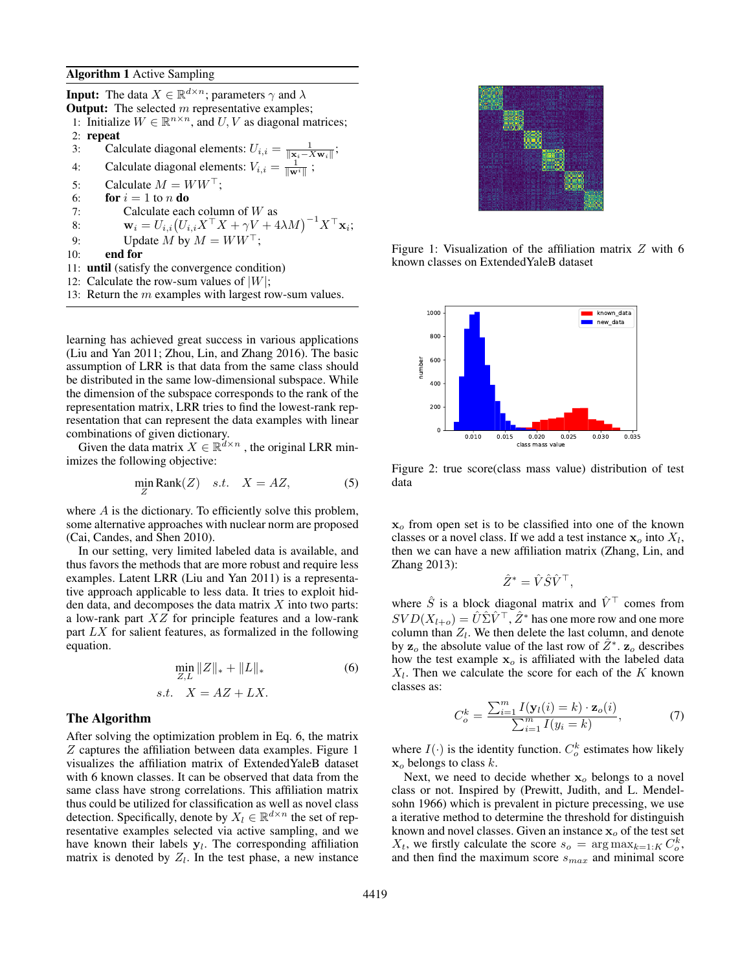**Input:** The data  $X \in \mathbb{R}^{d \times n}$ ; parameters  $\gamma$  and  $\lambda$ **Output:** The selected  $m$  representative examples; 1: Initialize  $W \in \mathbb{R}^{n \times n}$ , and  $U, V$  as diagonal matrices; 2: repeat 3: Calculate diagonal elements:  $U_{i,i} = \frac{1}{\|\mathbf{x}_i - X\mathbf{w}_i\|};$ 4: Calculate diagonal elements:  $V_{i,i} = \frac{1}{\|\mathbf{w}^i\|}$ ; 5: Calculate  $M = WW^{\top}$ ; 6: **for**  $i = 1$  to n **do** 7: Calculate each column of  $W$  as 8:  $\mathbf{w}_i = U_{i,i} (U_{i,i} X^\top X + \gamma V + 4\lambda M)^{-1} X^\top \mathbf{x}_i;$ 9: Update M by  $M = WW^{\top}$ ; 10: end for 11: until (satisfy the convergence condition) 12: Calculate the row-sum values of  $|W|$ ;

13: Return the  $m$  examples with largest row-sum values.

learning has achieved great success in various applications (Liu and Yan 2011; Zhou, Lin, and Zhang 2016). The basic assumption of LRR is that data from the same class should be distributed in the same low-dimensional subspace. While the dimension of the subspace corresponds to the rank of the representation matrix, LRR tries to find the lowest-rank representation that can represent the data examples with linear combinations of given dictionary.

Given the data matrix  $X \in \mathbb{R}^{d \times n}$ , the original LRR minimizes the following objective:

$$
\min_{Z} \text{Rank}(Z) \quad s.t. \quad X = AZ,\tag{5}
$$

where  $A$  is the dictionary. To efficiently solve this problem, some alternative approaches with nuclear norm are proposed (Cai, Candes, and Shen 2010).

In our setting, very limited labeled data is available, and thus favors the methods that are more robust and require less examples. Latent LRR (Liu and Yan 2011) is a representative approach applicable to less data. It tries to exploit hidden data, and decomposes the data matrix  $X$  into two parts: a low-rank part XZ for principle features and a low-rank part  $LX$  for salient features, as formalized in the following equation.

$$
\min_{Z,L} \|Z\|_* + \|L\|_* \tag{6}
$$

$$
s.t. \quad X = AZ + LX.
$$

## The Algorithm

After solving the optimization problem in Eq. 6, the matrix Z captures the affiliation between data examples. Figure 1 visualizes the affiliation matrix of ExtendedYaleB dataset with 6 known classes. It can be observed that data from the same class have strong correlations. This affiliation matrix thus could be utilized for classification as well as novel class detection. Specifically, denote by  $X_l \in \mathbb{R}^{d \times n}$  the set of representative examples selected via active sampling, and we have known their labels  $y_l$ . The corresponding affiliation matrix is denoted by  $Z_l$ . In the test phase, a new instance



Figure 1: Visualization of the affiliation matrix  $Z$  with 6 known classes on ExtendedYaleB dataset



Figure 2: true score(class mass value) distribution of test data

 $x<sub>o</sub>$  from open set is to be classified into one of the known classes or a novel class. If we add a test instance  $x_o$  into  $X_l$ , then we can have a new affiliation matrix (Zhang, Lin, and Zhang 2013):

$$
\hat{Z}^* = \hat{V} \hat{S} \hat{V}^\top,
$$

where  $\hat{S}$  is a block diagonal matrix and  $\hat{V}^{\top}$  comes from  $SVD(X_{l+o}) = \hat{U}\hat{\Sigma}\hat{V}^{\top}, \hat{Z}^*$  has one more row and one more column than  $Z_l$ . We then delete the last column, and denote by  $z_o$  the absolute value of the last row of  $\hat{Z}^*$ .  $\overline{z}_o$  describes how the test example  $x<sub>o</sub>$  is affiliated with the labeled data  $X_l$ . Then we calculate the score for each of the K known classes as:

$$
C_o^k = \frac{\sum_{i=1}^m I(\mathbf{y}_l(i) = k) \cdot \mathbf{z}_o(i)}{\sum_{i=1}^m I(y_i = k)},\tag{7}
$$

where  $I(\cdot)$  is the identity function.  $C_o^k$  estimates how likely  $x<sub>o</sub>$  belongs to class k.

Next, we need to decide whether  $x_0$  belongs to a novel class or not. Inspired by (Prewitt, Judith, and L. Mendelsohn 1966) which is prevalent in picture precessing, we use a iterative method to determine the threshold for distinguish known and novel classes. Given an instance  $x_0$  of the test set  $X_t$ , we firstly calculate the score  $s_o$  =  $\arg \max_{k=1:K} C_o^k$ , and then find the maximum score  $s_{max}$  and minimal score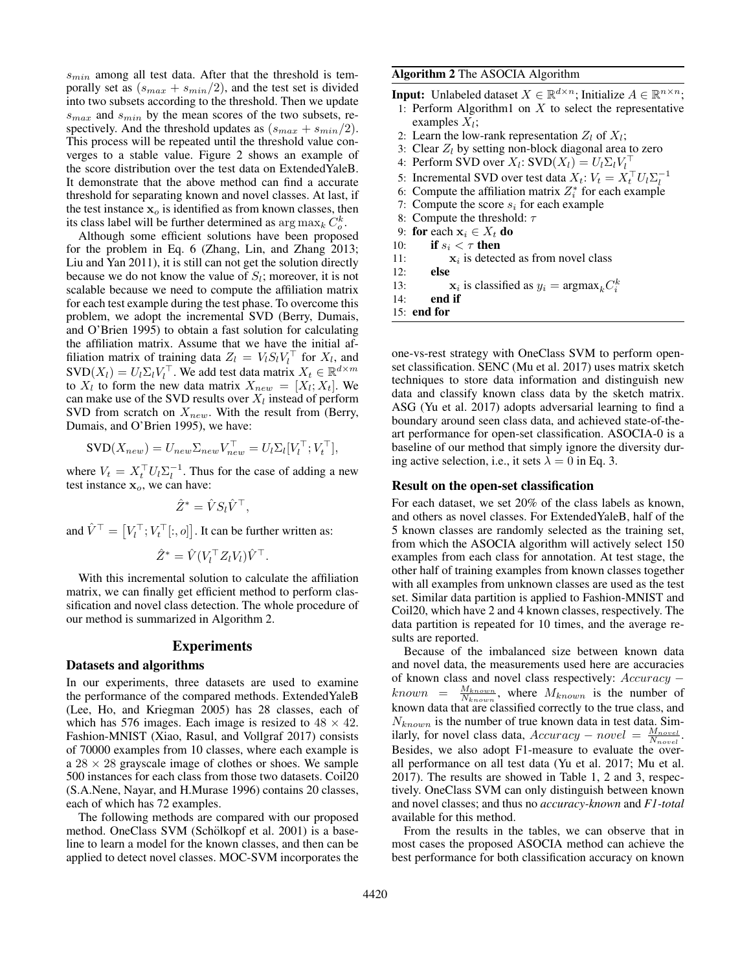$s_{min}$  among all test data. After that the threshold is temporally set as  $(s_{max} + s_{min}/2)$ , and the test set is divided into two subsets according to the threshold. Then we update  $s_{max}$  and  $s_{min}$  by the mean scores of the two subsets, respectively. And the threshold updates as  $(s_{max} + s_{min}/2)$ . This process will be repeated until the threshold value converges to a stable value. Figure 2 shows an example of the score distribution over the test data on ExtendedYaleB. It demonstrate that the above method can find a accurate threshold for separating known and novel classes. At last, if the test instance  $x<sub>o</sub>$  is identified as from known classes, then its class label will be further determined as  $\arg \max_k C_o^k$ .

Although some efficient solutions have been proposed for the problem in Eq. 6 (Zhang, Lin, and Zhang 2013; Liu and Yan 2011), it is still can not get the solution directly because we do not know the value of  $S_l$ ; moreover, it is not scalable because we need to compute the affiliation matrix for each test example during the test phase. To overcome this problem, we adopt the incremental SVD (Berry, Dumais, and O'Brien 1995) to obtain a fast solution for calculating the affiliation matrix. Assume that we have the initial affiliation matrix of training data  $Z_l = V_l S_l V_l^{\top}$  for  $X_l$ , and  $SVD(X_l) = U_l \Sigma_l V_l^{\top}$ . We add test data matrix  $X_t \in \mathbb{R}^{d \times m}$ to  $X_l$  to form the new data matrix  $X_{new} = [X_l; X_t]$ . We can make use of the SVD results over  $X_l$  instead of perform SVD from scratch on  $X_{new}$ . With the result from (Berry, Dumais, and O'Brien 1995), we have:

$$
SVD(X_{new}) = U_{new}\Sigma_{new}V_{new}^{\top} = U_l\Sigma_l[V_l^{\top}; V_l^{\top}],
$$

where  $V_t = X_t^\top U_l \Sigma_l^{-1}$ . Thus for the case of adding a new test instance  $x<sub>o</sub>$ , we can have:

$$
\hat{Z}^* = \hat{V} S_l \hat{V}^\top,
$$

and  $\hat{V}^{\top} = [V_l^{\top}; V_t^{\top}[:, o]]$ . It can be further written as:

$$
\hat{Z}^* = \hat{V}(V_l^\top Z_l V_l) \hat{V}^\top.
$$

With this incremental solution to calculate the affiliation matrix, we can finally get efficient method to perform classification and novel class detection. The whole procedure of our method is summarized in Algorithm 2.

## Experiments

## Datasets and algorithms

In our experiments, three datasets are used to examine the performance of the compared methods. ExtendedYaleB (Lee, Ho, and Kriegman 2005) has 28 classes, each of which has 576 images. Each image is resized to  $48 \times 42$ . Fashion-MNIST (Xiao, Rasul, and Vollgraf 2017) consists of 70000 examples from 10 classes, where each example is a  $28 \times 28$  grayscale image of clothes or shoes. We sample 500 instances for each class from those two datasets. Coil20 (S.A.Nene, Nayar, and H.Murase 1996) contains 20 classes, each of which has 72 examples.

The following methods are compared with our proposed method. OneClass SVM (Schölkopf et al. 2001) is a baseline to learn a model for the known classes, and then can be applied to detect novel classes. MOC-SVM incorporates the

## Algorithm 2 The ASOCIA Algorithm

- **Input:** Unlabeled dataset  $X \in \mathbb{R}^{d \times n}$ ; Initialize  $A \in \mathbb{R}^{n \times n}$ ; 1: Perform Algorithm1 on  $X$  to select the representative examples  $X_l$ ;
- 2: Learn the low-rank representation  $Z_l$  of  $X_l$ ;
- 3: Clear  $Z_l$  by setting non-block diagonal area to zero
- 4: Perform SVD over  $X_l$ : SVD $(X_l) = U_l \Sigma_l V_l^\top$
- 5: Incremental SVD over test data  $X_t$ :  $V_t = X_t^\top U_l \Sigma_l^{-1}$
- 6: Compute the affiliation matrix  $Z_i^*$  for each example
- 7: Compute the score  $s_i$  for each example
- 8: Compute the threshold:  $\tau$
- 9: for each  $x_i \in X_t$  do
- 10: if  $s_i < \tau$  then
- 11:  $\mathbf{x}_i$  is detected as from novel class
- 12: else
- 13:  $\mathbf{x}_i$  is classified as  $y_i = \text{argmax}_k C_i^k$
- 14: end if
- 15: end for

one-vs-rest strategy with OneClass SVM to perform openset classification. SENC (Mu et al. 2017) uses matrix sketch techniques to store data information and distinguish new data and classify known class data by the sketch matrix. ASG (Yu et al. 2017) adopts adversarial learning to find a boundary around seen class data, and achieved state-of-theart performance for open-set classification. ASOCIA-0 is a baseline of our method that simply ignore the diversity during active selection, i.e., it sets  $\lambda = 0$  in Eq. 3.

### Result on the open-set classification

For each dataset, we set 20% of the class labels as known, and others as novel classes. For ExtendedYaleB, half of the 5 known classes are randomly selected as the training set, from which the ASOCIA algorithm will actively select 150 examples from each class for annotation. At test stage, the other half of training examples from known classes together with all examples from unknown classes are used as the test set. Similar data partition is applied to Fashion-MNIST and Coil20, which have 2 and 4 known classes, respectively. The data partition is repeated for 10 times, and the average results are reported.

Because of the imbalanced size between known data and novel data, the measurements used here are accuracies of known class and novel class respectively: Accuracy −  $known =$  $\frac{M_{known}}{N_{known}}$ , where  $M_{known}$  is the number of known data that are classified correctly to the true class, and  $N_{known}$  is the number of true known data in test data. Similarly, for novel class data,  $Accuracy - novel = \frac{M_{novel}}{N_{novel}}$ . Besides, we also adopt F1-measure to evaluate the overall performance on all test data (Yu et al. 2017; Mu et al. 2017). The results are showed in Table 1, 2 and 3, respectively. OneClass SVM can only distinguish between known and novel classes; and thus no *accuracy-known* and *F1-total* available for this method.

From the results in the tables, we can observe that in most cases the proposed ASOCIA method can achieve the best performance for both classification accuracy on known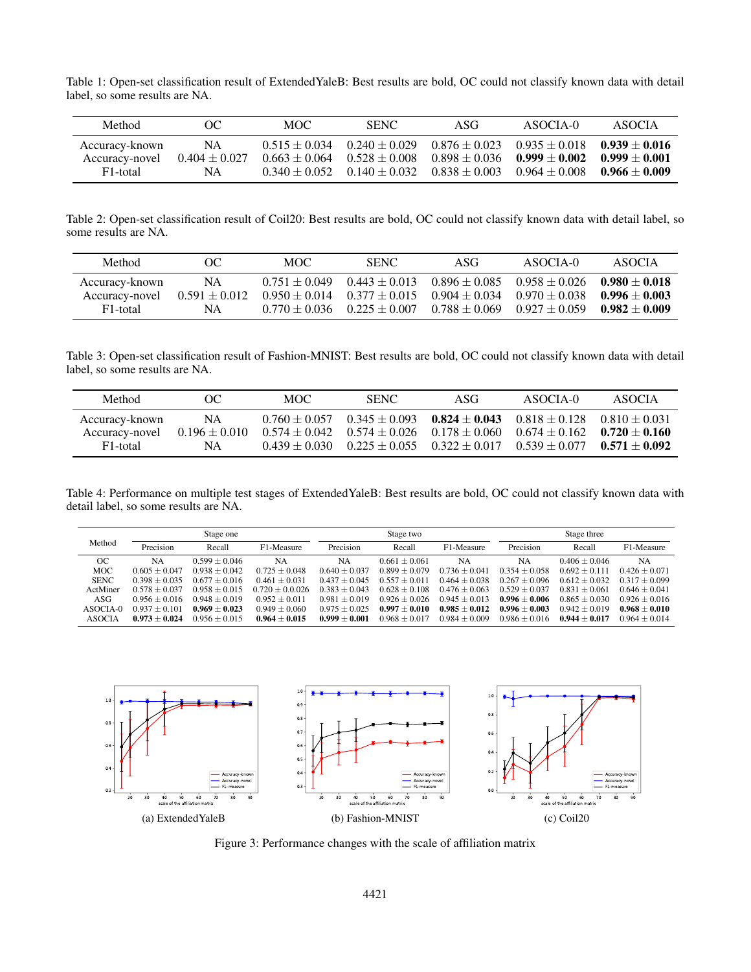Table 1: Open-set classification result of ExtendedYaleB: Best results are bold, OC could not classify known data with detail label, so some results are NA.

| Method                                       | OC.                             | MOC. | <b>SENC</b>                                                                                                   | ASG                                                                                                            | ASOCIA-0                                              | ASOCIA |
|----------------------------------------------|---------------------------------|------|---------------------------------------------------------------------------------------------------------------|----------------------------------------------------------------------------------------------------------------|-------------------------------------------------------|--------|
| Accuracy-known<br>Accuracy-novel<br>F1-total | NA.<br>$0.404 \pm 0.027$<br>NA. |      | $0.515 \pm 0.034$ $0.240 \pm 0.029$<br>$0.663 \pm 0.064$ $0.528 \pm 0.008$<br>$0.340 + 0.052$ $0.140 + 0.032$ | $0.898 \pm 0.036$ $0.999 \pm 0.002$ $0.999 \pm 0.001$<br>$0.838 \pm 0.003$ $0.964 \pm 0.008$ $0.966 \pm 0.009$ | $0.876 \pm 0.023$ $0.935 \pm 0.018$ $0.939 \pm 0.016$ |        |

Table 2: Open-set classification result of Coil20: Best results are bold, OC could not classify known data with detail label, so some results are NA.

| Method                                       | OC.                             | MOC. | <b>SENC</b>                     | ASG                                                                                                                                                                                                                         | ASOCIA-0 | ASOCIA |
|----------------------------------------------|---------------------------------|------|---------------------------------|-----------------------------------------------------------------------------------------------------------------------------------------------------------------------------------------------------------------------------|----------|--------|
| Accuracy-known<br>Accuracy-novel<br>F1-total | NA.<br>$0.591 \pm 0.012$<br>NA. |      | $0.770 + 0.036$ $0.225 + 0.007$ | $0.751 + 0.049$ $0.443 + 0.013$ $0.896 + 0.085$ $0.958 + 0.026$ $0.980 + 0.018$<br>$0.950 + 0.014$ $0.377 + 0.015$ $0.904 + 0.034$ $0.970 + 0.038$ $0.996 + 0.003$<br>$0.788 \pm 0.069$ $0.927 \pm 0.059$ $0.982 \pm 0.009$ |          |        |

Table 3: Open-set classification result of Fashion-MNIST: Best results are bold, OC could not classify known data with detail label, so some results are NA.

| Method                | OC.               | MOC .           | <b>SENC</b>                         | ASG                                                             | ASOCIA-0 | ASOCIA          |
|-----------------------|-------------------|-----------------|-------------------------------------|-----------------------------------------------------------------|----------|-----------------|
| Accuracy-known        | NA                | $0.760 + 0.057$ | $0.345 \pm 0.093$                   | $0.824 \pm 0.043$ $0.818 \pm 0.128$                             |          | $0.810 + 0.031$ |
| Accuracy-novel        | $0.196 \pm 0.010$ |                 | $0.574 \pm 0.042$ $0.574 \pm 0.026$ | $0.178 \pm 0.060$ $0.674 \pm 0.162$                             |          | $0.720 + 0.160$ |
| F <sub>1</sub> -total | NA                |                 |                                     | $0.439 + 0.030$ $0.225 + 0.055$ $0.322 + 0.017$ $0.539 + 0.077$ |          | $0.571 + 0.092$ |

Table 4: Performance on multiple test stages of ExtendedYaleB: Best results are bold, OC could not classify known data with detail label, so some results are NA.

|               | Stage one       |                 |                   | Stage two       |                 |                 | Stage three     |                 |                 |
|---------------|-----------------|-----------------|-------------------|-----------------|-----------------|-----------------|-----------------|-----------------|-----------------|
| Method        | Precision       | Recall          | F1-Measure        | Precision       | Recall          | F1-Measure      | Precision       | Recall          | F1-Measure      |
| <sub>OC</sub> | NA              | $0.599 + 0.046$ | <b>NA</b>         | NA              | $0.661 + 0.061$ | NA              | NA              | $0.406 + 0.046$ | NA              |
| <b>MOC</b>    | $0.605 + 0.047$ | $0.938 + 0.042$ | $0.725 + 0.048$   | $0.640 + 0.037$ | $0.899 + 0.079$ | $0.736 + 0.041$ | $0.354 + 0.058$ | $0.692 + 0.111$ | $0.426 + 0.071$ |
| <b>SENC</b>   | $0.398 + 0.035$ | $0.677 + 0.016$ | $0.461 + 0.031$   | $0.437 + 0.045$ | $0.557 + 0.011$ | $0.464 + 0.038$ | $0.267 + 0.096$ | $0.612 + 0.032$ | $0.317 + 0.099$ |
| ActMiner      | $0.578 + 0.037$ | $0.958 + 0.015$ | $0.720 + 0.0.026$ | $0.383 + 0.043$ | $0.628 + 0.108$ | $0.476 + 0.063$ | $0.529 + 0.037$ | $0.831 + 0.061$ | $0.646 + 0.041$ |
| ASG           | $0.956 + 0.016$ | $0.948 + 0.019$ | $0.952 + 0.011$   | $0.981 + 0.019$ | $0.926 + 0.026$ | $0.945 + 0.013$ | $0.996 + 0.006$ | $0.865 + 0.030$ | $0.926 + 0.016$ |
| ASOCIA-0      | $0.937 + 0.101$ | $0.969 + 0.023$ | $0.949 + 0.060$   | $0.975 + 0.025$ | $0.997 + 0.010$ | $0.985 + 0.012$ | $0.996 + 0.003$ | $0.942 + 0.019$ | $0.968 + 0.010$ |
| <b>ASOCIA</b> | $0.973 + 0.024$ | $0.956 + 0.015$ | $0.964 + 0.015$   | $0.999 + 0.001$ | $0.968 + 0.017$ | $0.984 + 0.009$ | $0.986 + 0.016$ | $0.944 + 0.017$ | $0.964 + 0.014$ |



Figure 3: Performance changes with the scale of affiliation matrix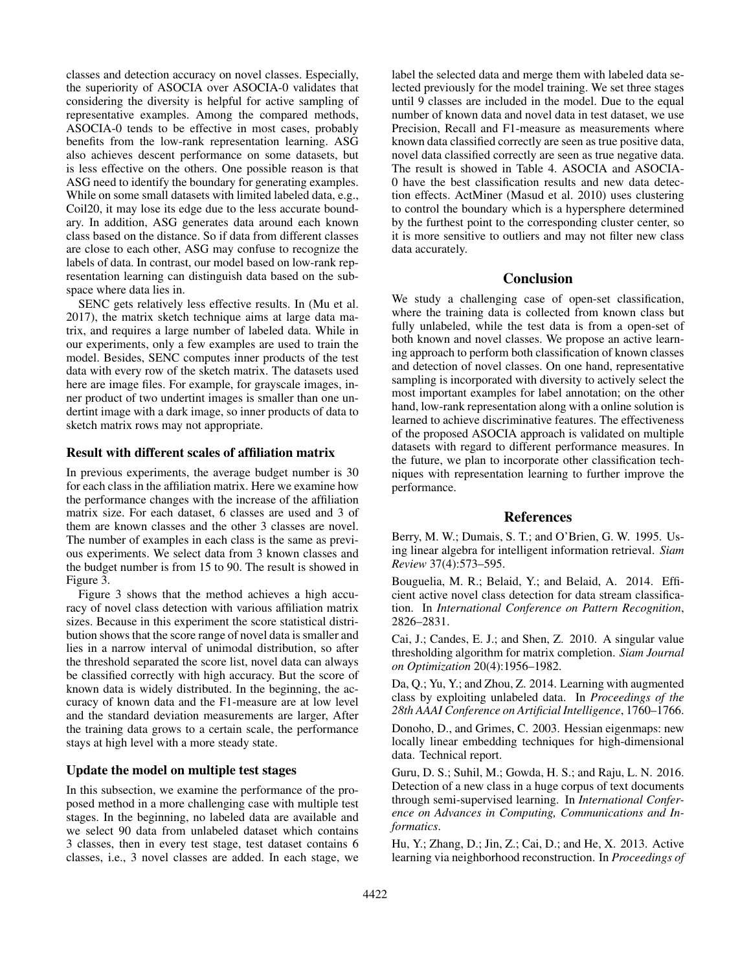classes and detection accuracy on novel classes. Especially, the superiority of ASOCIA over ASOCIA-0 validates that considering the diversity is helpful for active sampling of representative examples. Among the compared methods, ASOCIA-0 tends to be effective in most cases, probably benefits from the low-rank representation learning. ASG also achieves descent performance on some datasets, but is less effective on the others. One possible reason is that ASG need to identify the boundary for generating examples. While on some small datasets with limited labeled data, e.g., Coil20, it may lose its edge due to the less accurate boundary. In addition, ASG generates data around each known class based on the distance. So if data from different classes are close to each other, ASG may confuse to recognize the labels of data. In contrast, our model based on low-rank representation learning can distinguish data based on the subspace where data lies in.

SENC gets relatively less effective results. In (Mu et al. 2017), the matrix sketch technique aims at large data matrix, and requires a large number of labeled data. While in our experiments, only a few examples are used to train the model. Besides, SENC computes inner products of the test data with every row of the sketch matrix. The datasets used here are image files. For example, for grayscale images, inner product of two undertint images is smaller than one undertint image with a dark image, so inner products of data to sketch matrix rows may not appropriate.

## Result with different scales of affiliation matrix

In previous experiments, the average budget number is 30 for each class in the affiliation matrix. Here we examine how the performance changes with the increase of the affiliation matrix size. For each dataset, 6 classes are used and 3 of them are known classes and the other 3 classes are novel. The number of examples in each class is the same as previous experiments. We select data from 3 known classes and the budget number is from 15 to 90. The result is showed in Figure 3.

Figure 3 shows that the method achieves a high accuracy of novel class detection with various affiliation matrix sizes. Because in this experiment the score statistical distribution shows that the score range of novel data is smaller and lies in a narrow interval of unimodal distribution, so after the threshold separated the score list, novel data can always be classified correctly with high accuracy. But the score of known data is widely distributed. In the beginning, the accuracy of known data and the F1-measure are at low level and the standard deviation measurements are larger, After the training data grows to a certain scale, the performance stays at high level with a more steady state.

### Update the model on multiple test stages

In this subsection, we examine the performance of the proposed method in a more challenging case with multiple test stages. In the beginning, no labeled data are available and we select 90 data from unlabeled dataset which contains 3 classes, then in every test stage, test dataset contains 6 classes, i.e., 3 novel classes are added. In each stage, we label the selected data and merge them with labeled data selected previously for the model training. We set three stages until 9 classes are included in the model. Due to the equal number of known data and novel data in test dataset, we use Precision, Recall and F1-measure as measurements where known data classified correctly are seen as true positive data, novel data classified correctly are seen as true negative data. The result is showed in Table 4. ASOCIA and ASOCIA-0 have the best classification results and new data detection effects. ActMiner (Masud et al. 2010) uses clustering to control the boundary which is a hypersphere determined by the furthest point to the corresponding cluster center, so it is more sensitive to outliers and may not filter new class data accurately.

## Conclusion

We study a challenging case of open-set classification, where the training data is collected from known class but fully unlabeled, while the test data is from a open-set of both known and novel classes. We propose an active learning approach to perform both classification of known classes and detection of novel classes. On one hand, representative sampling is incorporated with diversity to actively select the most important examples for label annotation; on the other hand, low-rank representation along with a online solution is learned to achieve discriminative features. The effectiveness of the proposed ASOCIA approach is validated on multiple datasets with regard to different performance measures. In the future, we plan to incorporate other classification techniques with representation learning to further improve the performance.

#### References

Berry, M. W.; Dumais, S. T.; and O'Brien, G. W. 1995. Using linear algebra for intelligent information retrieval. *Siam Review* 37(4):573–595.

Bouguelia, M. R.; Belaid, Y.; and Belaid, A. 2014. Efficient active novel class detection for data stream classification. In *International Conference on Pattern Recognition*, 2826–2831.

Cai, J.; Candes, E. J.; and Shen, Z. 2010. A singular value thresholding algorithm for matrix completion. *Siam Journal on Optimization* 20(4):1956–1982.

Da, Q.; Yu, Y.; and Zhou, Z. 2014. Learning with augmented class by exploiting unlabeled data. In *Proceedings of the 28th AAAI Conference on Artificial Intelligence*, 1760–1766.

Donoho, D., and Grimes, C. 2003. Hessian eigenmaps: new locally linear embedding techniques for high-dimensional data. Technical report.

Guru, D. S.; Suhil, M.; Gowda, H. S.; and Raju, L. N. 2016. Detection of a new class in a huge corpus of text documents through semi-supervised learning. In *International Conference on Advances in Computing, Communications and Informatics*.

Hu, Y.; Zhang, D.; Jin, Z.; Cai, D.; and He, X. 2013. Active learning via neighborhood reconstruction. In *Proceedings of*